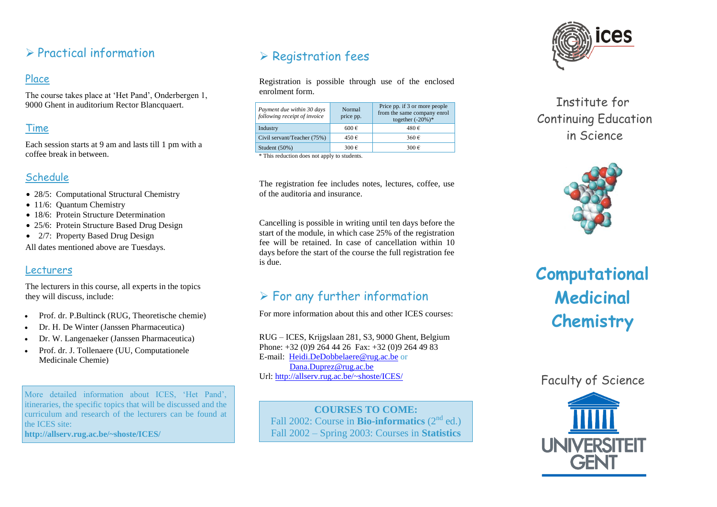## $\triangleright$  Practical information

### Place

The course takes place at "Het Pand", Onderbergen 1, 9000 Ghent in auditorium Rector Blancquaert.

### Time

Each session starts at 9 am and lasts till 1 pm with a coffee break in between.

### Schedule

- 28/5: Computational Structural Chemistry
- 11/6: Quantum Chemistry
- 18/6: Protein Structure Determination
- 25/6: Protein Structure Based Drug Design
- 2/7: Property Based Drug Design

All dates mentioned above are Tuesdays.

### Lecturers

The lecturers in this course, all experts in the topics they will discuss, include:

- Prof. dr. P.Bultinck (RUG, Theoretische chemie)
- Dr. H. De Winter (Janssen Pharmaceutica)
- Dr. W. Langenaeker (Janssen Pharmaceutica)
- Prof. dr. J. Tollenaere (UU, Computationele Medicinale Chemie)

More detailed information about ICES, "Het Pand", itineraries, the specific topics that will be discussed and the curriculum and research of the lecturers can be found at the ICES site: **http://allserv.rug.ac.be/~shoste/ICES/**

# $\triangleright$  Registration fees

Registration is possible through use of the enclosed enrolment form.

| Payment due within 30 days<br>following receipt of invoice | Normal<br>price pp. | Price pp. if 3 or more people<br>from the same company enrol<br>together $(-20%)$ * |
|------------------------------------------------------------|---------------------|-------------------------------------------------------------------------------------|
| Industry                                                   | $600 \in$           | 480€                                                                                |
| Civil servant/Teacher (75%)                                | 450€                | 360€                                                                                |
| Student $(50\%)$                                           | 300€                | 300€                                                                                |
| * This seduction does not confurte ottalente               |                     |                                                                                     |

\* This reduction does not apply to students.

The registration fee includes notes, lectures, coffee, use of the auditoria and insurance.

Cancelling is possible in writing until ten days before the start of the module, in which case 25% of the registration fee will be retained. In case of cancellation within 10 days before the start of the course the full registration fee is due.

# $\triangleright$  For any further information

For more information about this and other ICES courses:

RUG – ICES, Krijgslaan 281, S3, 9000 Ghent, Belgium Phone: +32 (0)9 264 44 26 Fax: +32 (0)9 264 49 83 E-mail: [Heidi.DeDobbelaere@rug.ac.be](mailto:Heidi.DeDobbelaere@rug.ac.be) or [Dana.Duprez@rug.ac.be](mailto:Dana.Duprez@rug.ac.be) Url:<http://allserv.rug.ac.be/~shoste/ICES/>

**COURSES TO COME:** Fall 2002: Course in **Bio-informatics** (2nd ed.) Fall 2002 – Spring 2003: Courses in **Statistics**



# Institute for Continuing Education in Science



# **Computational Medicinal Chemistry**